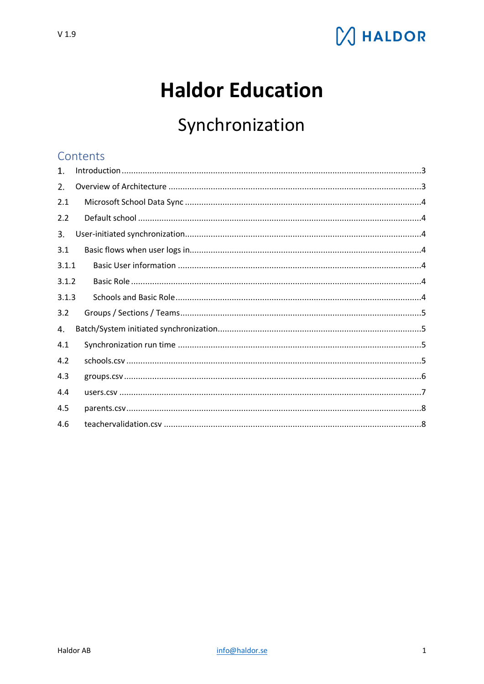

# **Haldor Education**

# Synchronization

## Contents

| 1.    |  |
|-------|--|
| 2.    |  |
| 2.1   |  |
| 2.2   |  |
| 3.    |  |
| 3.1   |  |
| 3.1.1 |  |
| 3.1.2 |  |
| 3.1.3 |  |
| 3.2   |  |
| 4.    |  |
| 4.1   |  |
| 4.2   |  |
| 4.3   |  |
| 4.4   |  |
| 4.5   |  |
| 4.6   |  |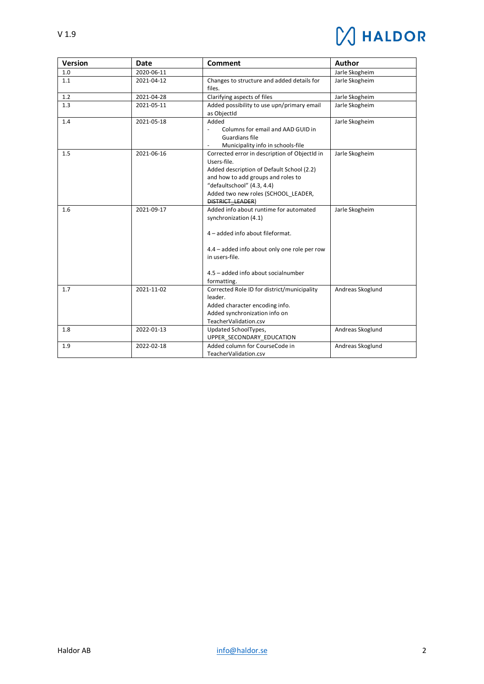

| <b>Version</b> | Date       | <b>Comment</b>                                                                                                                                                                                                                                  | <b>Author</b>    |
|----------------|------------|-------------------------------------------------------------------------------------------------------------------------------------------------------------------------------------------------------------------------------------------------|------------------|
| 1.0            | 2020-06-11 |                                                                                                                                                                                                                                                 | Jarle Skogheim   |
| 1.1            | 2021-04-12 | Changes to structure and added details for<br>files.                                                                                                                                                                                            | Jarle Skogheim   |
| 1.2            | 2021-04-28 | Clarifying aspects of files                                                                                                                                                                                                                     | Jarle Skogheim   |
| 1.3            | 2021-05-11 | Added possibility to use upn/primary email<br>as ObjectId                                                                                                                                                                                       | Jarle Skogheim   |
| 1.4            | 2021-05-18 | Added<br>Columns for email and AAD GUID in<br>$\blacksquare$<br><b>Guardians file</b><br>Municipality info in schools-file                                                                                                                      | Jarle Skogheim   |
| 1.5            | 2021-06-16 | Corrected error in description of ObjectId in<br>Users-file.<br>Added description of Default School (2.2)<br>and how to add groups and roles to<br>"defaultschool" (4.3, 4.4)<br>Added two new roles (SCHOOL LEADER,<br><b>DISTRICT LEADER)</b> | Jarle Skogheim   |
| 1.6            | 2021-09-17 | Added info about runtime for automated<br>synchronization (4.1)<br>4 - added info about fileformat.<br>4.4 - added info about only one role per row<br>in users-file.<br>4.5 - added info about socialnumber<br>formatting.                     | Jarle Skogheim   |
| 1.7            | 2021-11-02 | Corrected Role ID for district/municipality<br>leader.<br>Added character encoding info.<br>Added synchronization info on<br>TeacherValidation.csv                                                                                              | Andreas Skoglund |
| 1.8            | 2022-01-13 | Updated SchoolTypes,<br>UPPER SECONDARY EDUCATION                                                                                                                                                                                               | Andreas Skoglund |
| 1.9            | 2022-02-18 | Added column for CourseCode in<br>TeacherValidation.csv                                                                                                                                                                                         | Andreas Skoglund |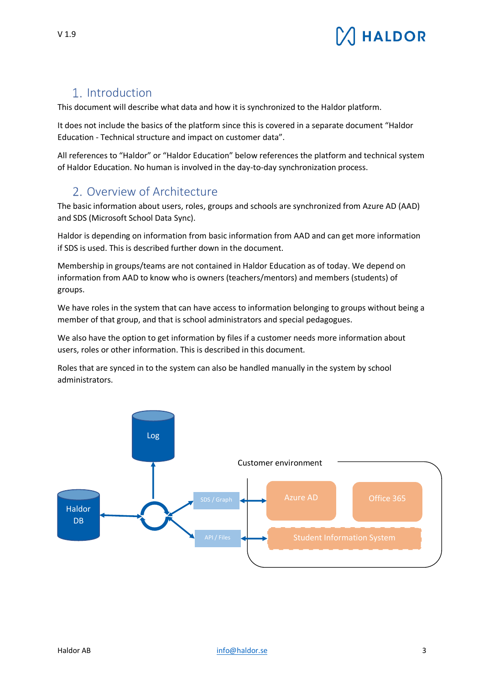

# <span id="page-2-0"></span>Introduction

This document will describe what data and how it is synchronized to the Haldor platform.

It does not include the basics of the platform since this is covered in a separate document "Haldor Education - Technical structure and impact on customer data".

All references to "Haldor" or "Haldor Education" below references the platform and technical system of Haldor Education. No human is involved in the day-to-day synchronization process.

## <span id="page-2-1"></span>2. Overview of Architecture

The basic information about users, roles, groups and schools are synchronized from Azure AD (AAD) and SDS (Microsoft School Data Sync).

Haldor is depending on information from basic information from AAD and can get more information if SDS is used. This is described further down in the document.

Membership in groups/teams are not contained in Haldor Education as of today. We depend on information from AAD to know who is owners (teachers/mentors) and members (students) of groups.

We have roles in the system that can have access to information belonging to groups without being a member of that group, and that is school administrators and special pedagogues.

We also have the option to get information by files if a customer needs more information about users, roles or other information. This is described in this document.

Roles that are synced in to the system can also be handled manually in the system by school administrators.

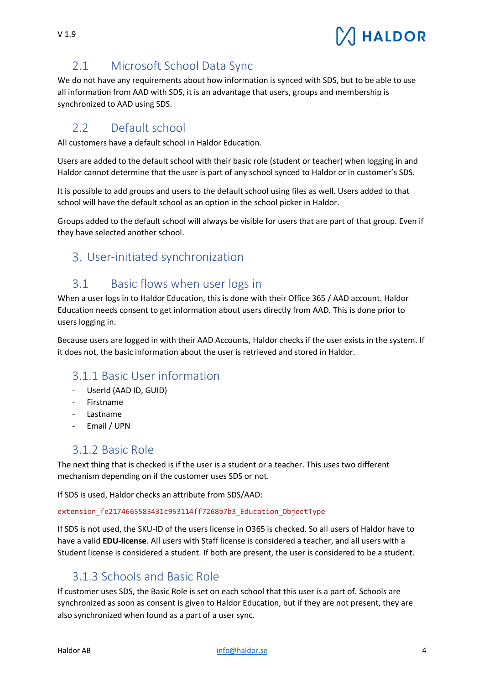# **HALDOR**

# <span id="page-3-0"></span>2.1 Microsoft School Data Sync

We do not have any requirements about how information is synced with SDS, but to be able to use all information from AAD with SDS, it is an advantage that users, groups and membership is synchronized to AAD using SDS.

# <span id="page-3-1"></span>2.2 Default school

All customers have a default school in Haldor Education.

Users are added to the default school with their basic role (student or teacher) when logging in and Haldor cannot determine that the user is part of any school synced to Haldor or in customer's SDS.

It is possible to add groups and users to the default school using files as well. Users added to that school will have the default school as an option in the school picker in Haldor.

Groups added to the default school will always be visible for users that are part of that group. Even if they have selected another school.

# <span id="page-3-2"></span>User-initiated synchronization

# <span id="page-3-3"></span>3.1 Basic flows when user logs in

When a user logs in to Haldor Education, this is done with their Office 365 / AAD account. Haldor Education needs consent to get information about users directly from AAD. This is done prior to users logging in.

Because users are logged in with their AAD Accounts, Haldor checks if the user exists in the system. If it does not, the basic information about the user is retrieved and stored in Haldor.

# <span id="page-3-4"></span>3.1.1 Basic User information

- UserId (AAD ID, GUID)
- Firstname
- Lastname
- Email / UPN

# <span id="page-3-5"></span>3.1.2 Basic Role

The next thing that is checked is if the user is a student or a teacher. This uses two different mechanism depending on if the customer uses SDS or not.

If SDS is used, Haldor checks an attribute from SDS/AAD:

#### extension fe2174665583431c953114ff7268b7b3 Education ObjectType

If SDS is not used, the SKU-ID of the users license in O365 is checked. So all users of Haldor have to have a valid **EDU-license**. All users with Staff license is considered a teacher, and all users with a Student license is considered a student. If both are present, the user is considered to be a student.

# <span id="page-3-6"></span>3.1.3 Schools and Basic Role

If customer uses SDS, the Basic Role is set on each school that this user is a part of. Schools are synchronized as soon as consent is given to Haldor Education, but if they are not present, they are also synchronized when found as a part of a user sync.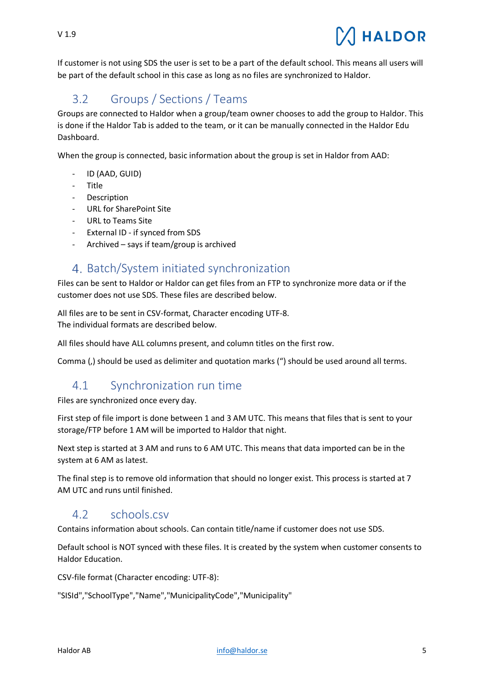If customer is not using SDS the user is set to be a part of the default school. This means all users will be part of the default school in this case as long as no files are synchronized to Haldor.

# <span id="page-4-0"></span>3.2 Groups / Sections / Teams

Groups are connected to Haldor when a group/team owner chooses to add the group to Haldor. This is done if the Haldor Tab is added to the team, or it can be manually connected in the Haldor Edu Dashboard.

When the group is connected, basic information about the group is set in Haldor from AAD:

- ID (AAD, GUID)
- Title
- Description
- URL for SharePoint Site
- URL to Teams Site
- External ID if synced from SDS
- Archived says if team/group is archived

# <span id="page-4-1"></span>4. Batch/System initiated synchronization

Files can be sent to Haldor or Haldor can get files from an FTP to synchronize more data or if the customer does not use SDS. These files are described below.

All files are to be sent in CSV-format, Character encoding UTF-8. The individual formats are described below.

All files should have ALL columns present, and column titles on the first row.

Comma (,) should be used as delimiter and quotation marks (") should be used around all terms.

# <span id="page-4-2"></span>4.1 Synchronization run time

Files are synchronized once every day.

First step of file import is done between 1 and 3 AM UTC. This means that files that is sent to your storage/FTP before 1 AM will be imported to Haldor that night.

Next step is started at 3 AM and runs to 6 AM UTC. This means that data imported can be in the system at 6 AM as latest.

The final step is to remove old information that should no longer exist. This process is started at 7 AM UTC and runs until finished.

### <span id="page-4-3"></span>4.2 schools.csv

Contains information about schools. Can contain title/name if customer does not use SDS.

Default school is NOT synced with these files. It is created by the system when customer consents to Haldor Education.

CSV-file format (Character encoding: UTF-8):

"SISId","SchoolType","Name","MunicipalityCode","Municipality"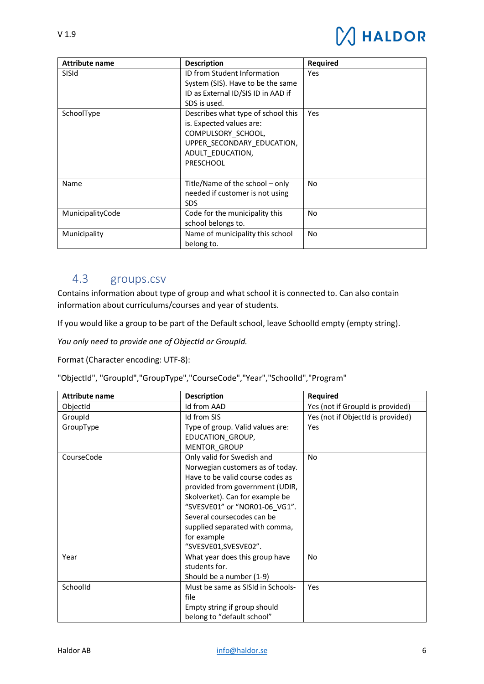| <b>Attribute name</b> | <b>Description</b>                                                                                                                                         | <b>Required</b> |
|-----------------------|------------------------------------------------------------------------------------------------------------------------------------------------------------|-----------------|
| SISId                 | ID from Student Information<br>System (SIS). Have to be the same<br>ID as External ID/SIS ID in AAD if<br>SDS is used.                                     | Yes             |
| SchoolType            | Describes what type of school this<br>is. Expected values are:<br>COMPULSORY_SCHOOL,<br>UPPER SECONDARY_EDUCATION,<br>ADULT EDUCATION,<br><b>PRESCHOOL</b> | Yes             |
| Name                  | Title/Name of the school - only<br>needed if customer is not using<br><b>SDS</b>                                                                           | No.             |
| MunicipalityCode      | Code for the municipality this<br>school belongs to.                                                                                                       | No              |
| Municipality          | Name of municipality this school<br>belong to.                                                                                                             | No.             |

## <span id="page-5-0"></span>4.3 groups.csv

Contains information about type of group and what school it is connected to. Can also contain information about curriculums/courses and year of students.

If you would like a group to be part of the Default school, leave SchoolId empty (empty string).

*You only need to provide one of ObjectId or GroupId.*

Format (Character encoding: UTF-8):

"ObjectId", "GroupId","GroupType","CourseCode","Year","SchoolId","Program"

| <b>Attribute name</b> | <b>Description</b>                | Required                          |
|-----------------------|-----------------------------------|-----------------------------------|
| ObjectId              | Id from AAD                       | Yes (not if GroupId is provided)  |
| GroupId               | Id from SIS                       | Yes (not if ObjectId is provided) |
| GroupType             | Type of group. Valid values are:  | Yes                               |
|                       | EDUCATION GROUP,                  |                                   |
|                       | <b>MENTOR GROUP</b>               |                                   |
| CourseCode            | Only valid for Swedish and        | <b>No</b>                         |
|                       | Norwegian customers as of today.  |                                   |
|                       | Have to be valid course codes as  |                                   |
|                       | provided from government (UDIR,   |                                   |
|                       | Skolverket). Can for example be   |                                   |
|                       | "SVESVE01" or "NOR01-06 VG1".     |                                   |
|                       | Several coursecodes can be        |                                   |
|                       | supplied separated with comma,    |                                   |
|                       | for example                       |                                   |
|                       | "SVESVE01,SVESVE02".              |                                   |
| Year                  | What year does this group have    | No.                               |
|                       | students for.                     |                                   |
|                       | Should be a number (1-9)          |                                   |
| Schoolld              | Must be same as SISId in Schools- | Yes                               |
|                       | file                              |                                   |
|                       | Empty string if group should      |                                   |
|                       | belong to "default school"        |                                   |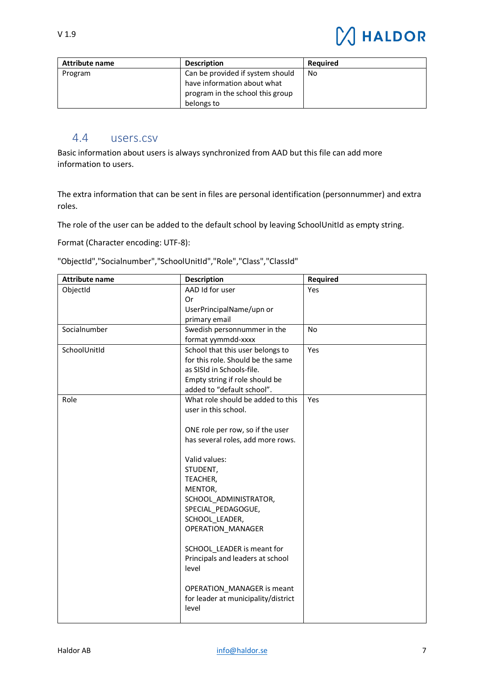| 1.9 |  |  |
|-----|--|--|
|     |  |  |

 $\vee$ 

| <b>Attribute name</b> | <b>Description</b>               | <b>Required</b> |
|-----------------------|----------------------------------|-----------------|
| Program               | Can be provided if system should | No              |
|                       | have information about what      |                 |
|                       | program in the school this group |                 |
|                       | belongs to                       |                 |

### <span id="page-6-0"></span>4.4 users.csv

Basic information about users is always synchronized from AAD but this file can add more information to users.

The extra information that can be sent in files are personal identification (personnummer) and extra roles.

The role of the user can be added to the default school by leaving SchoolUnitId as empty string.

Format (Character encoding: UTF-8):

"ObjectId","Socialnumber","SchoolUnitId","Role","Class","ClassId"

| <b>Attribute name</b> | <b>Description</b>                  | Required  |
|-----------------------|-------------------------------------|-----------|
| ObjectId              | AAD Id for user                     | Yes       |
|                       | 0r                                  |           |
|                       | UserPrincipalName/upn or            |           |
|                       | primary email                       |           |
| Socialnumber          | Swedish personnummer in the         | <b>No</b> |
|                       | format yymmdd-xxxx                  |           |
| SchoolUnitId          | School that this user belongs to    | Yes       |
|                       | for this role. Should be the same   |           |
|                       | as SISId in Schools-file.           |           |
|                       | Empty string if role should be      |           |
|                       | added to "default school".          |           |
| Role                  | What role should be added to this   | Yes       |
|                       | user in this school.                |           |
|                       |                                     |           |
|                       | ONE role per row, so if the user    |           |
|                       | has several roles, add more rows.   |           |
|                       | Valid values:                       |           |
|                       | STUDENT,                            |           |
|                       | TEACHER,                            |           |
|                       | MENTOR,                             |           |
|                       | SCHOOL ADMINISTRATOR,               |           |
|                       | SPECIAL_PEDAGOGUE,                  |           |
|                       | SCHOOL_LEADER,                      |           |
|                       | OPERATION MANAGER                   |           |
|                       |                                     |           |
|                       | SCHOOL_LEADER is meant for          |           |
|                       | Principals and leaders at school    |           |
|                       | level                               |           |
|                       |                                     |           |
|                       | <b>OPERATION MANAGER is meant</b>   |           |
|                       | for leader at municipality/district |           |
|                       | level                               |           |
|                       |                                     |           |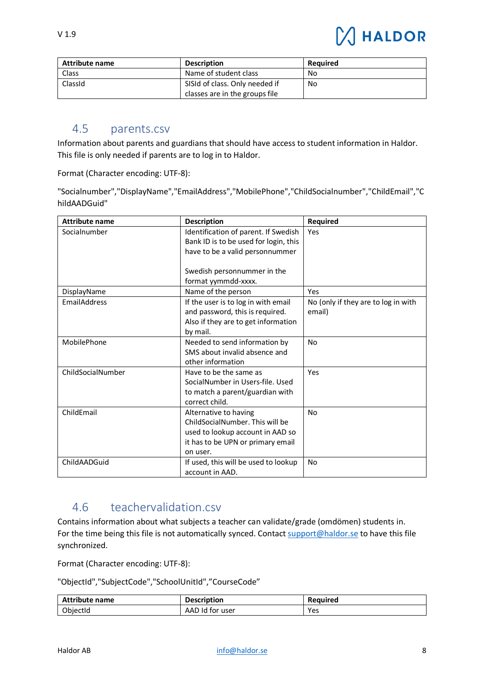| <b>Attribute name</b> | <b>Description</b>             | <b>Required</b> |
|-----------------------|--------------------------------|-----------------|
| Class                 | Name of student class          | No              |
| ClassId               | SISId of class. Only needed if | No              |
|                       | classes are in the groups file |                 |

### <span id="page-7-0"></span>4.5 parents.csv

Information about parents and guardians that should have access to student information in Haldor. This file is only needed if parents are to log in to Haldor.

Format (Character encoding: UTF-8):

"Socialnumber","DisplayName","EmailAddress","MobilePhone","ChildSocialnumber","ChildEmail","C hildAADGuid"

| <b>Attribute name</b> | <b>Description</b>                    | <b>Required</b>                     |
|-----------------------|---------------------------------------|-------------------------------------|
| Socialnumber          | Identification of parent. If Swedish  | Yes                                 |
|                       | Bank ID is to be used for login, this |                                     |
|                       | have to be a valid personnummer       |                                     |
|                       |                                       |                                     |
|                       | Swedish personnummer in the           |                                     |
|                       | format yymmdd-xxxx.                   |                                     |
| DisplayName           | Name of the person                    | Yes                                 |
| <b>EmailAddress</b>   | If the user is to log in with email   | No (only if they are to log in with |
|                       | and password, this is required.       | email)                              |
|                       | Also if they are to get information   |                                     |
|                       | by mail.                              |                                     |
| MobilePhone           | Needed to send information by         | <b>No</b>                           |
|                       | SMS about invalid absence and         |                                     |
|                       | other information                     |                                     |
| ChildSocialNumber     | Have to be the same as                | Yes                                 |
|                       | SocialNumber in Users-file, Used      |                                     |
|                       | to match a parent/guardian with       |                                     |
|                       | correct child.                        |                                     |
| ChildEmail            | Alternative to having                 | No.                                 |
|                       | ChildSocialNumber. This will be       |                                     |
|                       | used to lookup account in AAD so      |                                     |
|                       | it has to be UPN or primary email     |                                     |
|                       | on user.                              |                                     |
| ChildAADGuid          | If used, this will be used to lookup  | <b>No</b>                           |
|                       | account in AAD.                       |                                     |

# <span id="page-7-1"></span>4.6 teachervalidation.csv

Contains information about what subjects a teacher can validate/grade (omdömen) students in. For the time being this file is not automatically synced. Contact [support@haldor.se](mailto:support@haldor.se) to have this file synchronized.

Format (Character encoding: UTF-8):

"ObjectId","SubjectCode","SchoolUnitId","CourseCode"

| <b>Attribute name</b> | <b>Description</b>   | Reauired |
|-----------------------|----------------------|----------|
| ObjectId              | AAD Id<br>, for user | Yes      |